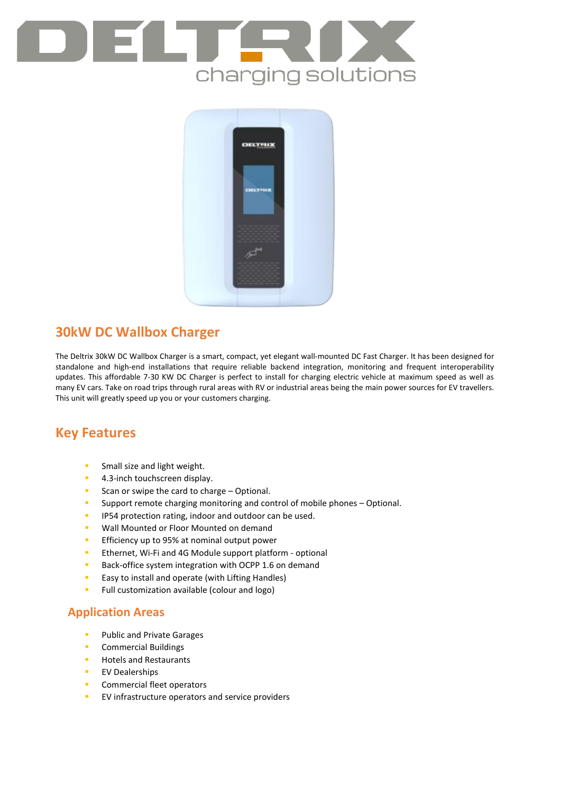



# **30kW DC Wallbox Charger**

The Deltrix 30kW DC Wallbox Charger is a smart, compact, yet elegant wall-mounted DC Fast Charger. It has been designed for standalone and high-end installations that require reliable backend integration, monitoring and frequent interoperability updates. This affordable 7-30 KW DC Charger is perfect to install for charging electric vehicle at maximum speed as well as many EV cars. Take on road trips through rural areas with RV or industrial areas being the main power sources for EV travellers. This unit will greatly speed up you or your customers charging.

## **Key Features**

- **Small size and light weight.**
- **4.3-inch touchscreen display.**
- Scan or swipe the card to charge Optional.
- **Support remote charging monitoring and control of mobile phones Optional.**
- **IP54 protection rating, indoor and outdoor can be used.**
- **Wall Mounted or Floor Mounted on demand**
- **Efficiency up to 95% at nominal output power**
- **Ethernet, Wi-Fi and 4G Module support platform optional**
- Back-office system integration with OCPP 1.6 on demand
- **Easy to install and operate (with Lifting Handles)**
- **Full customization available (colour and logo)**

### **Application Areas**

- **Public and Private Garages**
- **Commercial Buildings**
- **Hotels and Restaurants**
- **EV Dealerships**
- **Commercial fleet operators**
- **EV** infrastructure operators and service providers